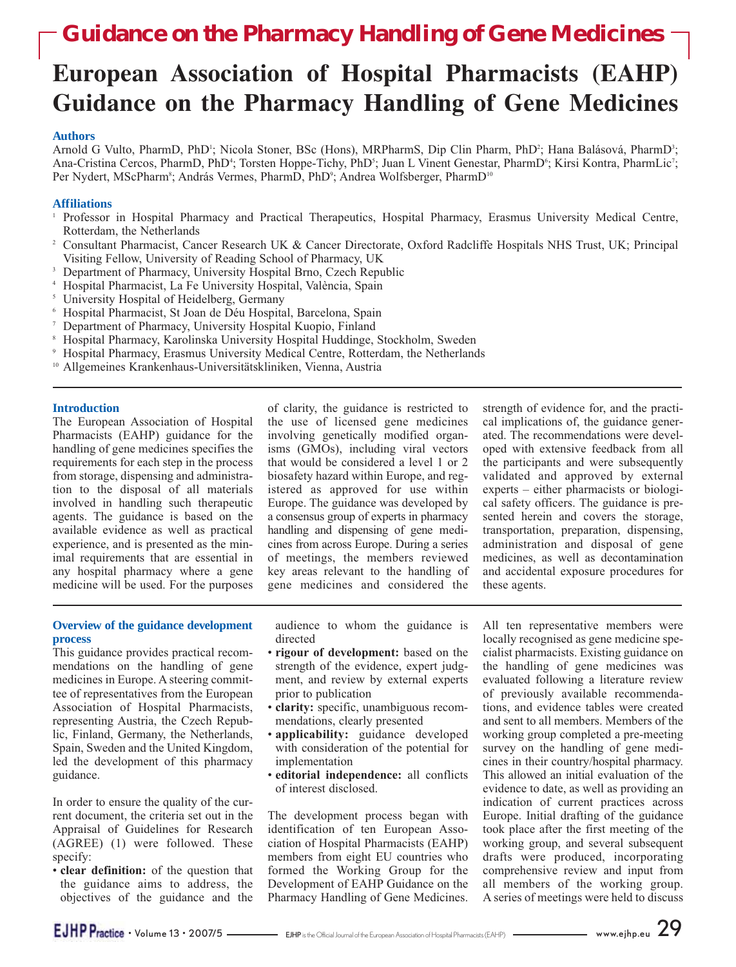# **European Association of Hospital Pharmacists (EAHP) Guidance on the Pharmacy Handling of Gene Medicines**

#### **Authors**

Arnold G Vulto, PharmD, PhD<sup>1</sup>; Nicola Stoner, BSc (Hons), MRPharmS, Dip Clin Pharm, PhD<sup>2</sup>; Hana Balásová, PharmD<sup>3</sup>; Ana-Cristina Cercos, PharmD, PhD<sup>4</sup>; Torsten Hoppe-Tichy, PhD<sup>5</sup>; Juan L Vinent Genestar, PharmD<sup>6</sup>; Kirsi Kontra, PharmLic<sup>7</sup>; Per Nydert, MScPharm<sup>s</sup>; András Vermes, PharmD, PhD°; Andrea Wolfsberger, PharmD<sup>10</sup>

### **Affiliations**

- <sup>1</sup> Professor in Hospital Pharmacy and Practical Therapeutics, Hospital Pharmacy, Erasmus University Medical Centre,<br>Rotterdam, the Netherlands
- <sup>2</sup> Consultant Pharmacist, Cancer Research UK & Cancer Directorate, Oxford Radcliffe Hospitals NHS Trust, UK; Principal
- Visiting Fellow, University of Reading School of Pharmacy, UK
- 
- 
- 
- 
- A Hospital Pharmacist, La Fe University Hospital, València, Spain<br>
S University Hospital of Heidelberg, Germany<br>
A Hospital Pharmacist, St Joan de Déu Hospital, Barcelona, Spain<br>
T Department of Pharmacy, University Hospit
- 
- 

#### **Introduction**

The European Association of Hospital Pharmacists (EAHP) guidance for the handling of gene medicines specifies the requirements for each step in the process from storage, dispensing and administration to the disposal of all materials involved in handling such therapeutic agents. The guidance is based on the available evidence as well as practical experience, and is presented as the minimal requirements that are essential in any hospital pharmacy where a gene medicine will be used. For the purposes of clarity, the guidance is restricted to the use of licensed gene medicines involving genetically modified organisms (GMOs), including viral vectors that would be considered a level 1 or 2 biosafety hazard within Europe, and registered as approved for use within Europe. The guidance was developed by a consensus group of experts in pharmacy handling and dispensing of gene medicines from across Europe. During a series of meetings, the members reviewed key areas relevant to the handling of gene medicines and considered the

strength of evidence for, and the practical implications of, the guidance generated. The recommendations were developed with extensive feedback from all the participants and were subsequently validated and approved by external experts – either pharmacists or biological safety officers. The guidance is presented herein and covers the storage, transportation, preparation, dispensing, administration and disposal of gene medicines, as well as decontamination and accidental exposure procedures for these agents.

## **Overview of the guidance development process**

This guidance provides practical recommendations on the handling of gene medicines in Europe. A steering committee of representatives from the European Association of Hospital Pharmacists, representing Austria, the Czech Republic, Finland, Germany, the Netherlands, Spain, Sweden and the United Kingdom, led the development of this pharmacy guidance.

In order to ensure the quality of the current document, the criteria set out in the Appraisal of Guidelines for Research (AGREE) (1) were followed. These specify:

• **clear definition:** of the question that the guidance aims to address, the objectives of the guidance and the audience to whom the guidance is directed

- **rigour of development:** based on the strength of the evidence, expert judgment, and review by external experts prior to publication
- **clarity:** specific, unambiguous recommendations, clearly presented
- **applicability:** guidance developed with consideration of the potential for implementation
- **editorial independence:** all conflicts of interest disclosed.

The development process began with identification of ten European Association of Hospital Pharmacists (EAHP) members from eight EU countries who formed the Working Group for the Development of EAHP Guidance on the Pharmacy Handling of Gene Medicines.

All ten representative members were locally recognised as gene medicine specialist pharmacists. Existing guidance on the handling of gene medicines was evaluated following a literature review of previously available recommendations, and evidence tables were created and sent to all members. Members of the working group completed a pre-meeting survey on the handling of gene medicines in their country/hospital pharmacy. This allowed an initial evaluation of the evidence to date, as well as providing an indication of current practices across Europe. Initial drafting of the guidance took place after the first meeting of the working group, and several subsequent drafts were produced, incorporating comprehensive review and input from all members of the working group. A series of meetings were held to discuss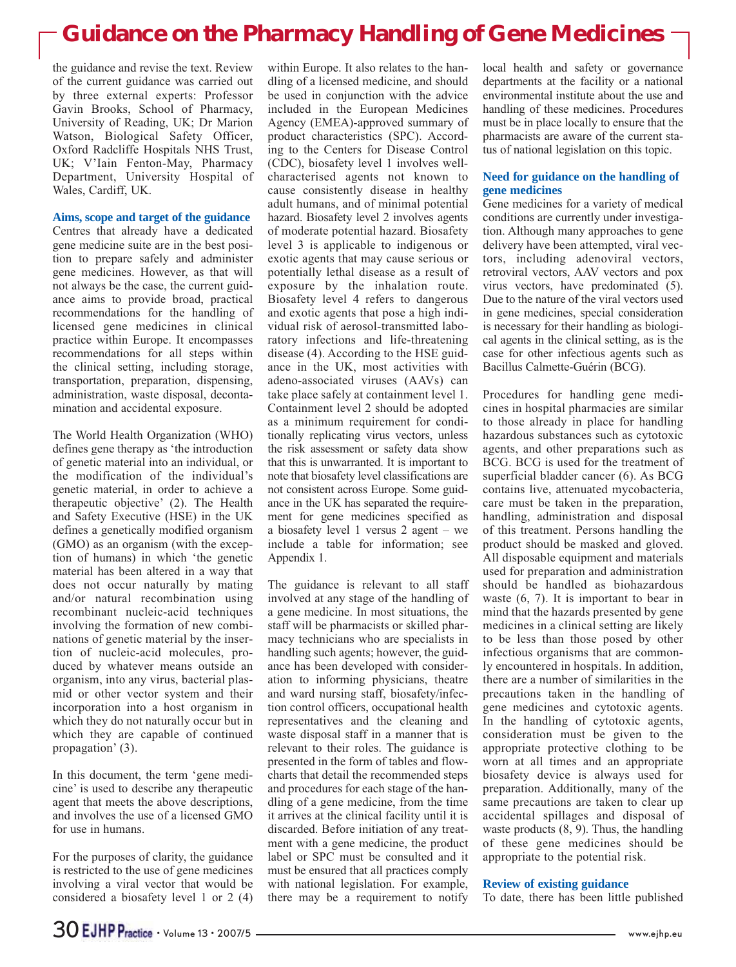the guidance and revise the text. Review of the current guidance was carried out by three external experts: Professor Gavin Brooks, School of Pharmacy, University of Reading, UK; Dr Marion Watson, Biological Safety Officer, Oxford Radcliffe Hospitals NHS Trust, UK; V'Iain Fenton-May, Pharmacy Department, University Hospital of Wales, Cardiff, UK.

#### **Aims, scope and target of the guidance**

Centres that already have a dedicated gene medicine suite are in the best position to prepare safely and administer gene medicines. However, as that will not always be the case, the current guidance aims to provide broad, practical recommendations for the handling of licensed gene medicines in clinical practice within Europe. It encompasses recommendations for all steps within the clinical setting, including storage, transportation, preparation, dispensing, administration, waste disposal, decontamination and accidental exposure.

The World Health Organization (WHO) defines gene therapy as 'the introduction of genetic material into an individual, or the modification of the individual's genetic material, in order to achieve a therapeutic objective' (2). The Health and Safety Executive (HSE) in the UK defines a genetically modified organism (GMO) as an organism (with the exception of humans) in which 'the genetic material has been altered in a way that does not occur naturally by mating and/or natural recombination using recombinant nucleic-acid techniques involving the formation of new combinations of genetic material by the insertion of nucleic-acid molecules, produced by whatever means outside an organism, into any virus, bacterial plasmid or other vector system and their incorporation into a host organism in which they do not naturally occur but in which they are capable of continued propagation' (3).

In this document, the term 'gene medicine' is used to describe any therapeutic agent that meets the above descriptions, and involves the use of a licensed GMO for use in humans.

For the purposes of clarity, the guidance is restricted to the use of gene medicines involving a viral vector that would be considered a biosafety level 1 or 2 (4)

within Europe. It also relates to the handling of a licensed medicine, and should be used in conjunction with the advice included in the European Medicines Agency (EMEA)-approved summary of product characteristics (SPC). According to the Centers for Disease Control (CDC), biosafety level 1 involves wellcharacterised agents not known to cause consistently disease in healthy adult humans, and of minimal potential hazard. Biosafety level 2 involves agents of moderate potential hazard. Biosafety level 3 is applicable to indigenous or exotic agents that may cause serious or potentially lethal disease as a result of exposure by the inhalation route. Biosafety level 4 refers to dangerous and exotic agents that pose a high individual risk of aerosol-transmitted laboratory infections and life-threatening disease (4). According to the HSE guidance in the UK, most activities with adeno-associated viruses (AAVs) can take place safely at containment level 1. Containment level 2 should be adopted as a minimum requirement for conditionally replicating virus vectors, unless the risk assessment or safety data show that this is unwarranted. It is important to note that biosafety level classifications are not consistent across Europe. Some guidance in the UK has separated the requirement for gene medicines specified as a biosafety level 1 versus 2 agent – we include a table for information; see Appendix 1.

The guidance is relevant to all staff involved at any stage of the handling of a gene medicine. In most situations, the staff will be pharmacists or skilled pharmacy technicians who are specialists in handling such agents; however, the guidance has been developed with consideration to informing physicians, theatre and ward nursing staff, biosafety/infection control officers, occupational health representatives and the cleaning and waste disposal staff in a manner that is relevant to their roles. The guidance is presented in the form of tables and flowcharts that detail the recommended steps and procedures for each stage of the handling of a gene medicine, from the time it arrives at the clinical facility until it is discarded. Before initiation of any treatment with a gene medicine, the product label or SPC must be consulted and it must be ensured that all practices comply with national legislation. For example, there may be a requirement to notify

local health and safety or governance departments at the facility or a national environmental institute about the use and handling of these medicines. Procedures must be in place locally to ensure that the pharmacists are aware of the current status of national legislation on this topic.

## **Need for guidance on the handling of gene medicines**

Gene medicines for a variety of medical conditions are currently under investigation. Although many approaches to gene delivery have been attempted, viral vectors, including adenoviral vectors, retroviral vectors, AAV vectors and pox virus vectors, have predominated (5). Due to the nature of the viral vectors used in gene medicines, special consideration is necessary for their handling as biological agents in the clinical setting, as is the case for other infectious agents such as Bacillus Calmette-Guérin (BCG).

Procedures for handling gene medicines in hospital pharmacies are similar to those already in place for handling hazardous substances such as cytotoxic agents, and other preparations such as BCG. BCG is used for the treatment of superficial bladder cancer (6). As BCG contains live, attenuated mycobacteria, care must be taken in the preparation, handling, administration and disposal of this treatment. Persons handling the product should be masked and gloved. All disposable equipment and materials used for preparation and administration should be handled as biohazardous waste (6, 7). It is important to bear in mind that the hazards presented by gene medicines in a clinical setting are likely to be less than those posed by other infectious organisms that are commonly encountered in hospitals. In addition, there are a number of similarities in the precautions taken in the handling of gene medicines and cytotoxic agents. In the handling of cytotoxic agents, consideration must be given to the appropriate protective clothing to be worn at all times and an appropriate biosafety device is always used for preparation. Additionally, many of the same precautions are taken to clear up accidental spillages and disposal of waste products  $(8, 9)$ . Thus, the handling of these gene medicines should be appropriate to the potential risk.

#### **Review of existing guidance**

To date, there has been little published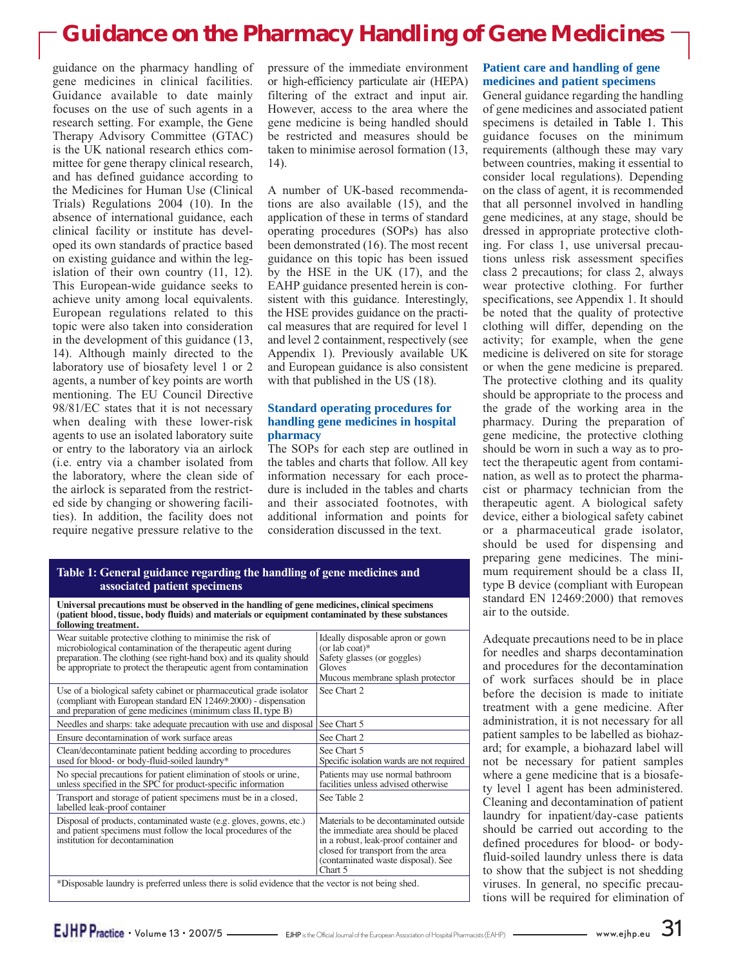guidance on the pharmacy handling of gene medicines in clinical facilities. Guidance available to date mainly focuses on the use of such agents in a research setting. For example, the Gene Therapy Advisory Committee (GTAC) is the UK national research ethics committee for gene therapy clinical research, and has defined guidance according to the Medicines for Human Use (Clinical Trials) Regulations 2004 (10). In the absence of international guidance, each clinical facility or institute has developed its own standards of practice based on existing guidance and within the legislation of their own country (11, 12). This European-wide guidance seeks to achieve unity among local equivalents. European regulations related to this topic were also taken into consideration in the development of this guidance (13, 14). Although mainly directed to the laboratory use of biosafety level 1 or 2 agents, a number of key points are worth mentioning. The EU Council Directive 98/81/EC states that it is not necessary when dealing with these lower-risk agents to use an isolated laboratory suite or entry to the laboratory via an airlock (i.e. entry via a chamber isolated from the laboratory, where the clean side of the airlock is separated from the restricted side by changing or showering facilities). In addition, the facility does not require negative pressure relative to the pressure of the immediate environment or high-efficiency particulate air (HEPA) filtering of the extract and input air. However, access to the area where the gene medicine is being handled should be restricted and measures should be taken to minimise aerosol formation (13, 14).

A number of UK-based recommendations are also available (15), and the application of these in terms of standard operating procedures (SOPs) has also been demonstrated (16). The most recent guidance on this topic has been issued by the HSE in the UK (17), and the EAHP guidance presented herein is consistent with this guidance. Interestingly, the HSE provides guidance on the practical measures that are required for level 1 and level 2 containment, respectively (see Appendix 1). Previously available UK and European guidance is also consistent with that published in the US (18).

## **Standard operating procedures for handling gene medicines in hospital pharmacy**

The SOPs for each step are outlined in the tables and charts that follow. All key information necessary for each procedure is included in the tables and charts and their associated footnotes, with additional information and points for consideration discussed in the text.

## **Table 1: General guidance regarding the handling of gene medicines and associated patient specimens**

**Universal precautions must be observed in the handling of gene medicines, clinical specimens (patient blood, tissue, body fluids) and materials or equipment contaminated by these substances following treatment.** 

| ronowing u caunche                                                                                                                                                                                                                                                        |                                                                                                                                                                                                               |  |  |  |
|---------------------------------------------------------------------------------------------------------------------------------------------------------------------------------------------------------------------------------------------------------------------------|---------------------------------------------------------------------------------------------------------------------------------------------------------------------------------------------------------------|--|--|--|
| Wear suitable protective clothing to minimise the risk of<br>microbiological contamination of the therapeutic agent during<br>preparation. The clothing (see right-hand box) and its quality should<br>be appropriate to protect the therapeutic agent from contamination | Ideally disposable apron or gown<br>(or lab coat) $*$<br>Safety glasses (or goggles)<br>Gloves<br>Mucous membrane splash protector                                                                            |  |  |  |
| Use of a biological safety cabinet or pharmaceutical grade isolator<br>(compliant with European standard EN 12469:2000) - dispensation<br>and preparation of gene medicines (minimum class II, type B)                                                                    | See Chart 2                                                                                                                                                                                                   |  |  |  |
| Needles and sharps: take adequate precaution with use and disposal                                                                                                                                                                                                        | See Chart 5                                                                                                                                                                                                   |  |  |  |
| Ensure decontamination of work surface areas                                                                                                                                                                                                                              | See Chart 2                                                                                                                                                                                                   |  |  |  |
| Clean/decontaminate patient bedding according to procedures<br>used for blood- or body-fluid-soiled laundry*                                                                                                                                                              | See Chart 5<br>Specific isolation wards are not required                                                                                                                                                      |  |  |  |
| No special precautions for patient elimination of stools or urine,<br>unless specified in the SPC for product-specific information                                                                                                                                        | Patients may use normal bathroom<br>facilities unless advised otherwise                                                                                                                                       |  |  |  |
| Transport and storage of patient specimens must be in a closed,<br>labelled leak-proof container                                                                                                                                                                          | See Table 2                                                                                                                                                                                                   |  |  |  |
| Disposal of products, contaminated waste (e.g. gloves, gowns, etc.)<br>and patient specimens must follow the local procedures of the<br>institution for decontamination                                                                                                   | Materials to be decontaminated outside<br>the immediate area should be placed<br>in a robust, leak-proof container and<br>closed for transport from the area<br>(contaminated waste disposal). See<br>Chart 5 |  |  |  |
| *Disposable laundry is preferred unless there is solid evidence that the vector is not being shed.                                                                                                                                                                        |                                                                                                                                                                                                               |  |  |  |
|                                                                                                                                                                                                                                                                           |                                                                                                                                                                                                               |  |  |  |

## **Patient care and handling of gene medicines and patient specimens**

General guidance regarding the handling of gene medicines and associated patient specimens is detailed in Table 1. This guidance focuses on the minimum requirements (although these may vary between countries, making it essential to consider local regulations). Depending on the class of agent, it is recommended that all personnel involved in handling gene medicines, at any stage, should be dressed in appropriate protective clothing. For class 1, use universal precautions unless risk assessment specifies class 2 precautions; for class 2, always wear protective clothing. For further specifications, see Appendix 1. It should be noted that the quality of protective clothing will differ, depending on the activity; for example, when the gene medicine is delivered on site for storage or when the gene medicine is prepared. The protective clothing and its quality should be appropriate to the process and the grade of the working area in the pharmacy. During the preparation of gene medicine, the protective clothing should be worn in such a way as to protect the therapeutic agent from contamination, as well as to protect the pharmacist or pharmacy technician from the therapeutic agent. A biological safety device, either a biological safety cabinet or a pharmaceutical grade isolator, should be used for dispensing and preparing gene medicines. The minimum requirement should be a class II, type B device (compliant with European standard EN 12469:2000) that removes air to the outside.

Adequate precautions need to be in place for needles and sharps decontamination and procedures for the decontamination of work surfaces should be in place before the decision is made to initiate treatment with a gene medicine. After administration, it is not necessary for all patient samples to be labelled as biohazard; for example, a biohazard label will not be necessary for patient samples where a gene medicine that is a biosafety level 1 agent has been administered. Cleaning and decontamination of patient laundry for inpatient/day-case patients should be carried out according to the defined procedures for blood- or bodyfluid-soiled laundry unless there is data to show that the subject is not shedding viruses. In general, no specific precautions will be required for elimination of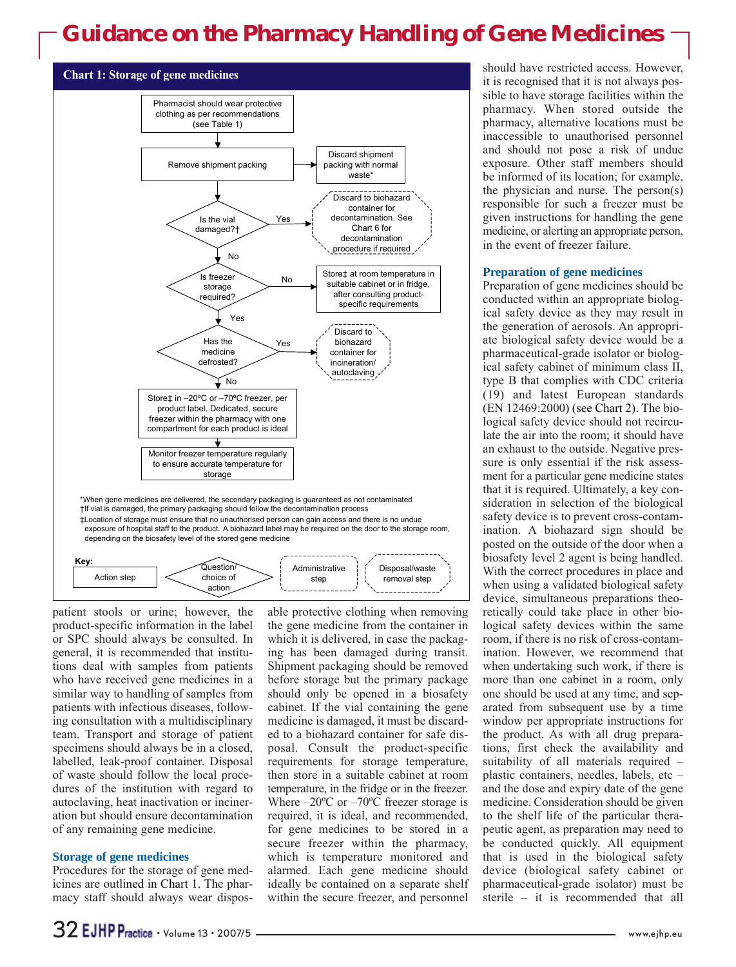



patient stools or urine; however, the product-specific information in the label or SPC should always be consulted. In general, it is recommended that institutions deal with samples from patients who have received gene medicines in a similar way to handling of samples from patients with infectious diseases, following consultation with a multidisciplinary team. Transport and storage of patient specimens should always be in a closed, labelled, leak-proof container. Disposal of waste should follow the local procedures of the institution with regard to autoclaving, heat inactivation or incineration but should ensure decontamination of any remaining gene medicine.

### **Storage of gene medicines**

Procedures for the storage of gene medicines are outlined in Chart 1. The pharmacy staff should always wear disposable protective clothing when removing the gene medicine from the container in which it is delivered, in case the packaging has been damaged during transit. Shipment packaging should be removed before storage but the primary package should only be opened in a biosafety cabinet. If the vial containing the gene medicine is damaged, it must be discarded to a biohazard container for safe disposal. Consult the product-specific requirements for storage temperature, then store in a suitable cabinet at room temperature, in the fridge or in the freezer. Where  $-20^{\circ}$ C or  $-70^{\circ}$ C freezer storage is required, it is ideal, and recommended, for gene medicines to be stored in a secure freezer within the pharmacy, which is temperature monitored and alarmed. Each gene medicine should ideally be contained on a separate shelf within the secure freezer, and personnel

should have restricted access. However, it is recognised that it is not always possible to have storage facilities within the pharmacy. When stored outside the pharmacy, alternative locations must be inaccessible to unauthorised personnel and should not pose a risk of undue exposure. Other staff members should be informed of its location; for example, the physician and nurse. The person(s) responsible for such a freezer must be given instructions for handling the gene medicine, or alerting an appropriate person, in the event of freezer failure.

### **Preparation of gene medicines**

Preparation of gene medicines should be conducted within an appropriate biological safety device as they may result in the generation of aerosols. An appropriate biological safety device would be a pharmaceutical-grade isolator or biological safety cabinet of minimum class II, type B that complies with CDC criteria (19) and latest European standards (EN 12469:2000) (see Chart 2). The biological safety device should not recirculate the air into the room; it should have an exhaust to the outside. Negative pressure is only essential if the risk assessment for a particular gene medicine states that it is required. Ultimately, a key consideration in selection of the biological safety device is to prevent cross-contamination. A biohazard sign should be posted on the outside of the door when a biosafety level 2 agent is being handled. With the correct procedures in place and when using a validated biological safety device, simultaneous preparations theoretically could take place in other biological safety devices within the same room, if there is no risk of cross-contamination. However, we recommend that when undertaking such work, if there is more than one cabinet in a room, only one should be used at any time, and separated from subsequent use by a time window per appropriate instructions for the product. As with all drug preparations, first check the availability and suitability of all materials required – plastic containers, needles, labels, etc – and the dose and expiry date of the gene medicine. Consideration should be given to the shelf life of the particular therapeutic agent, as preparation may need to be conducted quickly. All equipment that is used in the biological safety device (biological safety cabinet or pharmaceutical-grade isolator) must be sterile – it is recommended that all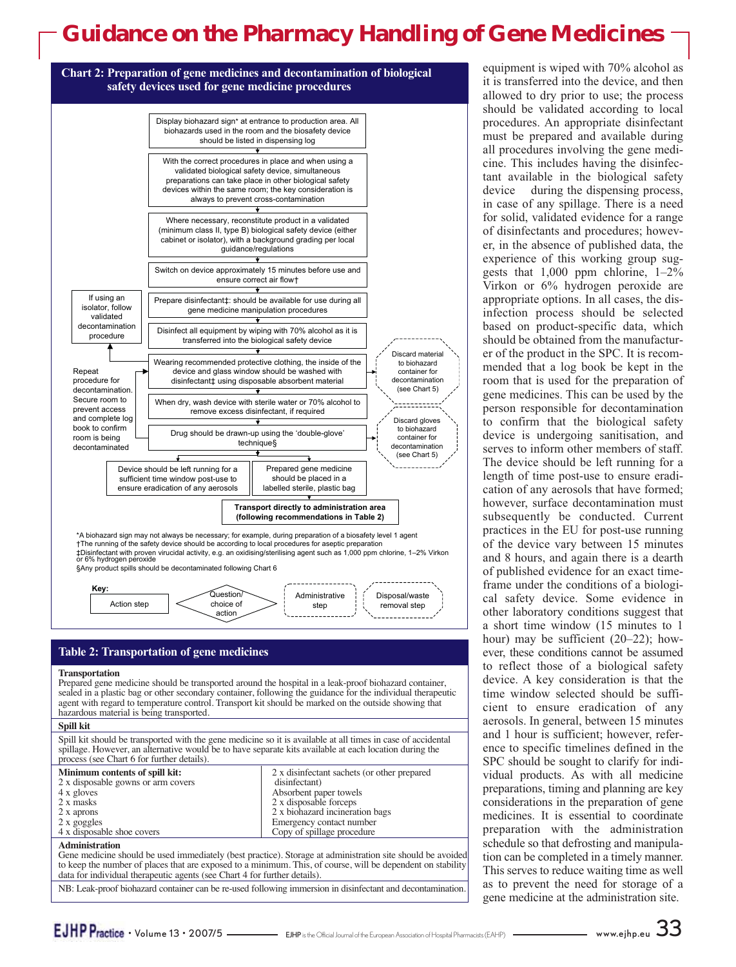

| process (see Chart 6 for further details). |                                             |
|--------------------------------------------|---------------------------------------------|
| Minimum contents of spill kit:             | 2 x disinfectant sachets (or other prepared |
| 2 x disposable gowns or arm covers         | disinfectant)                               |
| 4 x gloves                                 | Absorbent paper towels                      |
| 2 x masks                                  | 2 x disposable forceps                      |
| 2 x aprons                                 | 2 x biohazard incineration bags             |
| 2 x goggles                                | Emergency contact number                    |
| 4 x disposable shoe covers                 | Copy of spillage procedure                  |
| <b>Administration</b>                      |                                             |

Gene medicine should be used immediately (best practice). Storage at administration site should be avoided to keep the number of places that are exposed to a minimum. This, of course, will be dependent on stability data for individual therapeutic agents (see Chart 4 for further details).

NB: Leak-proof biohazard container can be re-used following immersion in disinfectant and decontamination.

equipment is wiped with 70% alcohol as it is transferred into the device, and then allowed to dry prior to use; the process should be validated according to local procedures. An appropriate disinfectant must be prepared and available during all procedures involving the gene medicine. This includes having the disinfectant available in the biological safety<br>device during the dispensing process. during the dispensing process, in case of any spillage. There is a need for solid, validated evidence for a range of disinfectants and procedures; however, in the absence of published data, the experience of this working group suggests that  $1,000$  ppm chlorine,  $1-2\%$ Virkon or 6% hydrogen peroxide are appropriate options. In all cases, the disinfection process should be selected based on product-specific data, which should be obtained from the manufacturer of the product in the SPC. It is recommended that a log book be kept in the room that is used for the preparation of gene medicines. This can be used by the person responsible for decontamination to confirm that the biological safety device is undergoing sanitisation, and serves to inform other members of staff. The device should be left running for a length of time post-use to ensure eradication of any aerosols that have formed; however, surface decontamination must subsequently be conducted. Current practices in the EU for post-use running of the device vary between 15 minutes and 8 hours, and again there is a dearth of published evidence for an exact timeframe under the conditions of a biological safety device. Some evidence in other laboratory conditions suggest that a short time window (15 minutes to 1 hour) may be sufficient (20–22); however, these conditions cannot be assumed to reflect those of a biological safety device. A key consideration is that the time window selected should be sufficient to ensure eradication of any aerosols. In general, between 15 minutes and 1 hour is sufficient; however, reference to specific timelines defined in the SPC should be sought to clarify for individual products. As with all medicine preparations, timing and planning are key considerations in the preparation of gene medicines. It is essential to coordinate preparation with the administration schedule so that defrosting and manipulation can be completed in a timely manner. This serves to reduce waiting time as well as to prevent the need for storage of a

gene medicine at the administration site.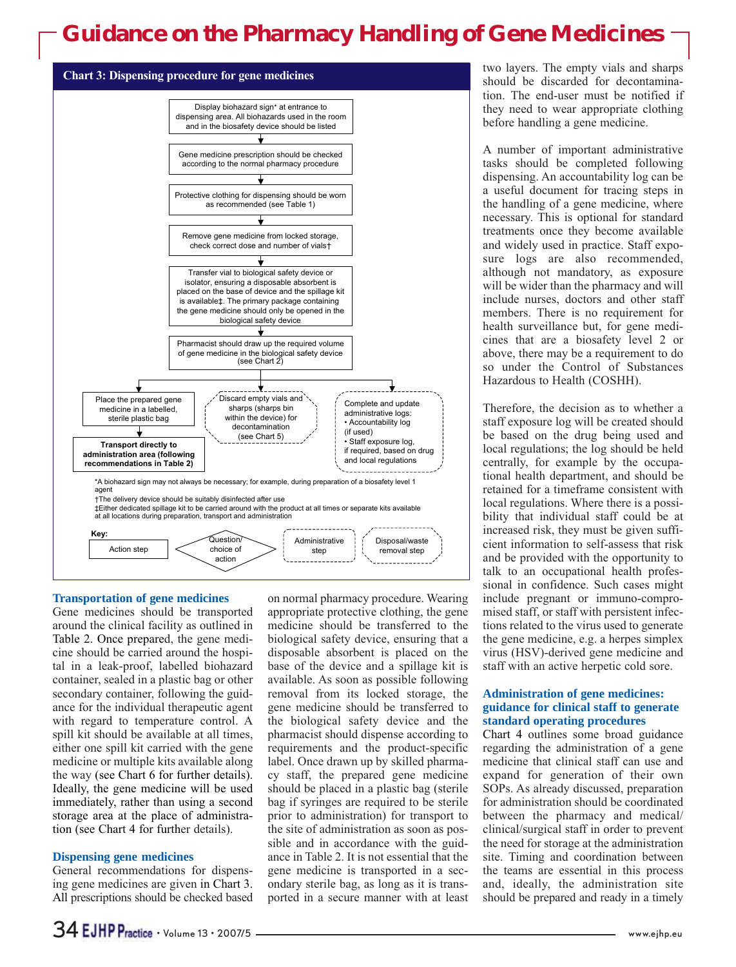

#### **Transportation of gene medicines**

Gene medicines should be transported around the clinical facility as outlined in Table 2. Once prepared, the gene medicine should be carried around the hospital in a leak-proof, labelled biohazard container, sealed in a plastic bag or other secondary container, following the guidance for the individual therapeutic agent with regard to temperature control. A spill kit should be available at all times, either one spill kit carried with the gene medicine or multiple kits available along the way (see Chart 6 for further details). Ideally, the gene medicine will be used immediately, rather than using a second storage area at the place of administration (see Chart 4 for further details).

### **Dispensing gene medicines**

General recommendations for dispensing gene medicines are given in Chart 3. All prescriptions should be checked based on normal pharmacy procedure. Wearing appropriate protective clothing, the gene medicine should be transferred to the biological safety device, ensuring that a disposable absorbent is placed on the base of the device and a spillage kit is available. As soon as possible following removal from its locked storage, the gene medicine should be transferred to the biological safety device and the pharmacist should dispense according to requirements and the product-specific label. Once drawn up by skilled pharmacy staff, the prepared gene medicine should be placed in a plastic bag (sterile bag if syringes are required to be sterile prior to administration) for transport to the site of administration as soon as possible and in accordance with the guidance in Table 2. It is not essential that the gene medicine is transported in a secondary sterile bag, as long as it is transported in a secure manner with at least

two layers. The empty vials and sharps should be discarded for decontamination. The end-user must be notified if they need to wear appropriate clothing before handling a gene medicine.

A number of important administrative tasks should be completed following dispensing. An accountability log can be a useful document for tracing steps in the handling of a gene medicine, where necessary. This is optional for standard treatments once they become available and widely used in practice. Staff exposure logs are also recommended, although not mandatory, as exposure will be wider than the pharmacy and will include nurses, doctors and other staff members. There is no requirement for health surveillance but, for gene medicines that are a biosafety level 2 or above, there may be a requirement to do so under the Control of Substances Hazardous to Health (COSHH).

Therefore, the decision as to whether a staff exposure log will be created should be based on the drug being used and local regulations; the log should be held centrally, for example by the occupational health department, and should be retained for a timeframe consistent with local regulations. Where there is a possibility that individual staff could be at increased risk, they must be given sufficient information to self-assess that risk and be provided with the opportunity to talk to an occupational health professional in confidence. Such cases might include pregnant or immuno-compromised staff, or staff with persistent infections related to the virus used to generate the gene medicine, e.g. a herpes simplex virus (HSV)-derived gene medicine and staff with an active herpetic cold sore.

## **Administration of gene medicines: guidance for clinical staff to generate standard operating procedures**

Chart 4 outlines some broad guidance regarding the administration of a gene medicine that clinical staff can use and expand for generation of their own SOPs. As already discussed, preparation for administration should be coordinated between the pharmacy and medical/ clinical/surgical staff in order to prevent the need for storage at the administration site. Timing and coordination between the teams are essential in this process and, ideally, the administration site should be prepared and ready in a timely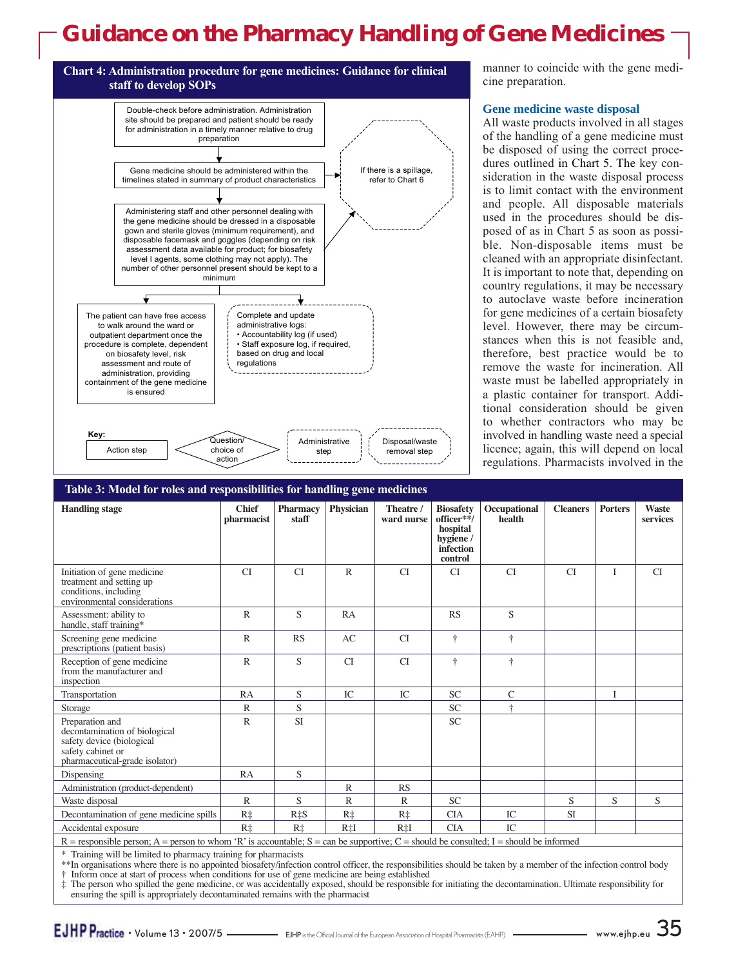

manner to coincide with the gene medicine preparation.

## **Gene medicine waste disposal**

All waste products involved in all stages of the handling of a gene medicine must be disposed of using the correct procedures outlined in Chart 5. The key consideration in the waste disposal process is to limit contact with the environment and people. All disposable materials used in the procedures should be disposed of as in Chart 5 as soon as possible. Non-disposable items must be cleaned with an appropriate disinfectant. It is important to note that, depending on country regulations, it may be necessary to autoclave waste before incineration for gene medicines of a certain biosafety level. However, there may be circumstances when this is not feasible and, therefore, best practice would be to remove the waste for incineration. All waste must be labelled appropriately in a plastic container for transport. Additional consideration should be given to whether contractors who may be involved in handling waste need a special licence; again, this will depend on local regulations. Pharmacists involved in the

#### **Handling stage Chief Pharmacy Physician Theatre / Biosafety Occupational Cleaners Porters Waste** pharmacist staff staff ward nurse officer\*\*/ health services **hospital hygiene / infection control** Initiation of gene medicine CI CI R CI CI CI CI I CI treatment and setting up conditions, including environmental considerations Assessment: ability to R R S RA RS S handle, staff training\* Screening gene medicine R RS RS AC CI † † † prescriptions (patient basis) Reception of gene medicine R S CI CI † † from the manufacturer and inspection Transportation RA S IC IC SC C I Storage R R S SC † Preparation and R SI SI SC decontamination of biological safety device (biological safety cabinet or pharmaceutical-grade isolator) Dispensing RA S Administration (product-dependent) R RS Waste disposal R R S R R SC S S S S S Decontamination of gene medicine spills  $R\ddagger$  R $\ddagger$  R $\ddagger$  R $\ddagger$  R $\ddagger$  R $\ddagger$  R $\ddagger$  CIA CIA R<sup> $\ddagger$ </sup> CIA R<sup> $\ddagger$ </sup> Accidental exposure R‡ R‡ R‡I R‡I CIA IC **Table 3: Model for roles and responsibilities for handling gene medicines**

 $R =$  responsible person; A = person to whom 'R' is accountable; S = can be supportive; C = should be consulted; I = should be informed

\* Training will be limited to pharmacy training for pharmacists

\*\*In organisations where there is no appointed biosafety/infection control officer, the responsibilities should be taken by a member of the infection control body † Inform once at start of process when conditions for use of gene medicine are being established

The person who spilled the gene medicine, or was accidentally exposed, should be responsible for initiating the decontamination. Ultimate responsibility for ensuring the spill is appropriately decontaminated remains with the pharmacist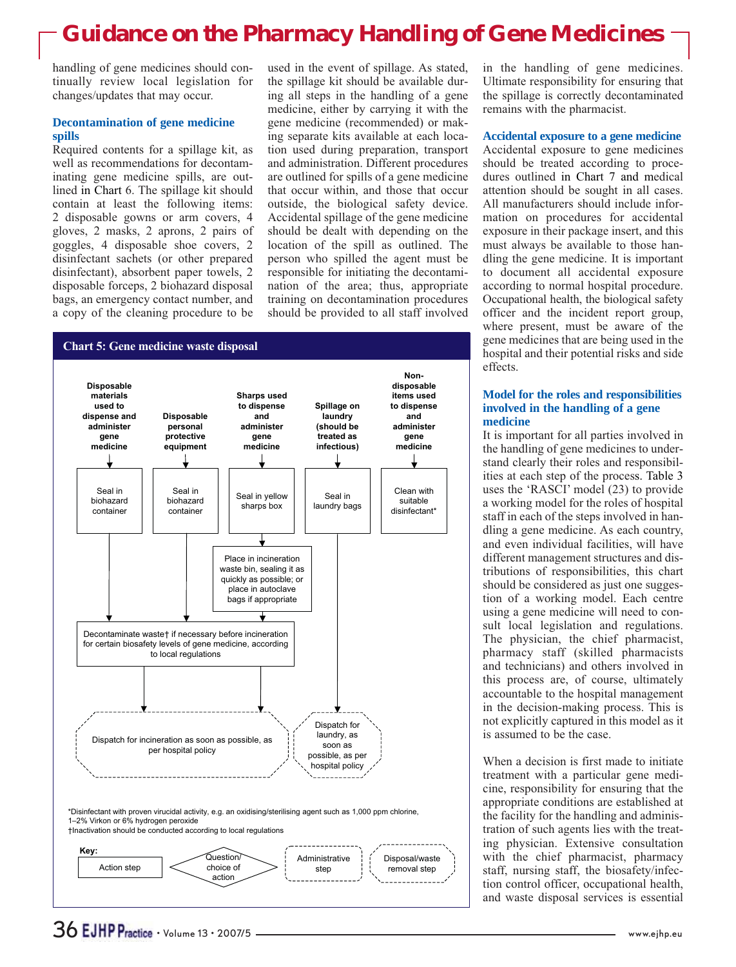handling of gene medicines should continually review local legislation for changes/updates that may occur.

## **Decontamination of gene medicine spills**

Required contents for a spillage kit, as well as recommendations for decontaminating gene medicine spills, are outlined in Chart 6. The spillage kit should contain at least the following items: 2 disposable gowns or arm covers, 4 gloves, 2 masks, 2 aprons, 2 pairs of goggles, 4 disposable shoe covers, 2 disinfectant sachets (or other prepared disinfectant), absorbent paper towels, 2 disposable forceps, 2 biohazard disposal bags, an emergency contact number, and a copy of the cleaning procedure to be

used in the event of spillage. As stated, the spillage kit should be available during all steps in the handling of a gene medicine, either by carrying it with the gene medicine (recommended) or making separate kits available at each location used during preparation, transport and administration. Different procedures are outlined for spills of a gene medicine that occur within, and those that occur outside, the biological safety device. Accidental spillage of the gene medicine should be dealt with depending on the location of the spill as outlined. The person who spilled the agent must be responsible for initiating the decontamination of the area; thus, appropriate training on decontamination procedures should be provided to all staff involved



in the handling of gene medicines. Ultimate responsibility for ensuring that the spillage is correctly decontaminated remains with the pharmacist.

### **Accidental exposure to a gene medicine**

Accidental exposure to gene medicines should be treated according to procedures outlined in Chart 7 and medical attention should be sought in all cases. All manufacturers should include information on procedures for accidental exposure in their package insert, and this must always be available to those handling the gene medicine. It is important to document all accidental exposure according to normal hospital procedure. Occupational health, the biological safety officer and the incident report group, where present, must be aware of the gene medicines that are being used in the hospital and their potential risks and side effects.

## **Model for the roles and responsibilities involved in the handling of a gene medicine**

It is important for all parties involved in the handling of gene medicines to understand clearly their roles and responsibilities at each step of the process. Table 3 uses the 'RASCI' model (23) to provide a working model for the roles of hospital staff in each of the steps involved in handling a gene medicine. As each country, and even individual facilities, will have different management structures and distributions of responsibilities, this chart should be considered as just one suggestion of a working model. Each centre using a gene medicine will need to consult local legislation and regulations. The physician, the chief pharmacist, pharmacy staff (skilled pharmacists and technicians) and others involved in this process are, of course, ultimately accountable to the hospital management in the decision-making process. This is not explicitly captured in this model as it is assumed to be the case.

When a decision is first made to initiate treatment with a particular gene medicine, responsibility for ensuring that the appropriate conditions are established at the facility for the handling and administration of such agents lies with the treating physician. Extensive consultation with the chief pharmacist, pharmacy staff, nursing staff, the biosafety/infection control officer, occupational health, and waste disposal services is essential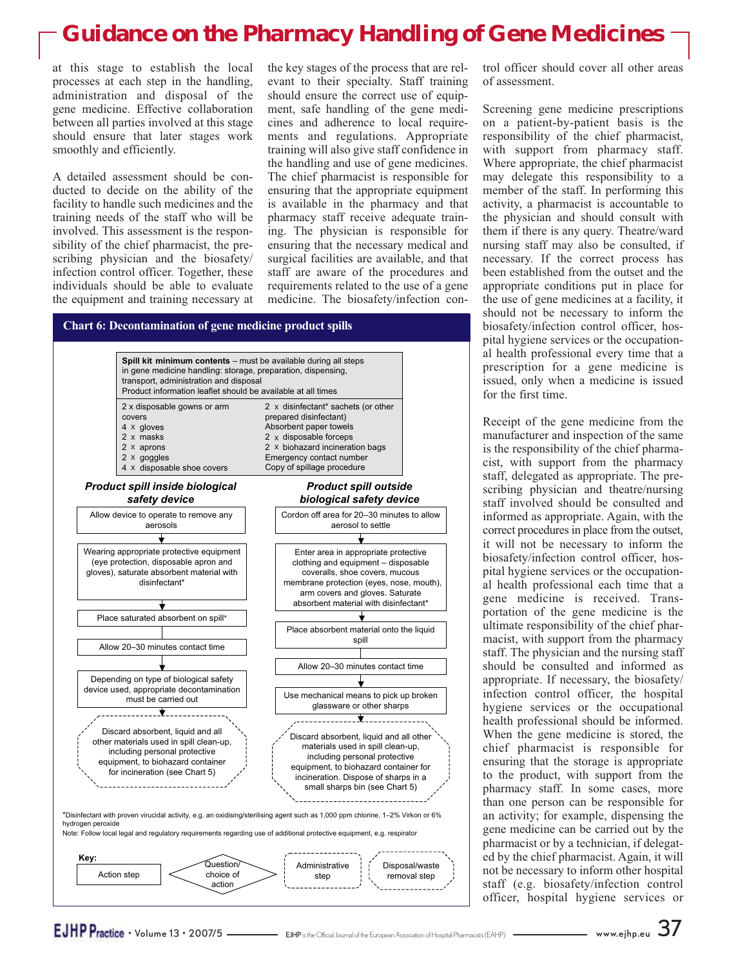at this stage to establish the local processes at each step in the handling, administration and disposal of the gene medicine. Effective collaboration between all parties involved at this stage should ensure that later stages work smoothly and efficiently.

A detailed assessment should be conducted to decide on the ability of the facility to handle such medicines and the training needs of the staff who will be involved. This assessment is the responsibility of the chief pharmacist, the prescribing physician and the biosafety/ infection control officer. Together, these individuals should be able to evaluate the equipment and training necessary at the key stages of the process that are relevant to their specialty. Staff training should ensure the correct use of equipment, safe handling of the gene medicines and adherence to local requirements and regulations. Appropriate training will also give staff confidence in the handling and use of gene medicines. The chief pharmacist is responsible for ensuring that the appropriate equipment is available in the pharmacy and that pharmacy staff receive adequate training. The physician is responsible for ensuring that the necessary medical and surgical facilities are available, and that staff are aware of the procedures and requirements related to the use of a gene medicine. The biosafety/infection con-

## **Chart 6: Decontamination of gene medicine product spills**



action

trol officer should cover all other areas of assessment.

Screening gene medicine prescriptions on a patient-by-patient basis is the responsibility of the chief pharmacist, with support from pharmacy staff. Where appropriate, the chief pharmacist may delegate this responsibility to a member of the staff. In performing this activity, a pharmacist is accountable to the physician and should consult with them if there is any query. Theatre/ward nursing staff may also be consulted, if necessary. If the correct process has been established from the outset and the appropriate conditions put in place for the use of gene medicines at a facility, it should not be necessary to inform the biosafety/infection control officer, hospital hygiene services or the occupational health professional every time that a prescription for a gene medicine is issued, only when a medicine is issued for the first time.

Receipt of the gene medicine from the manufacturer and inspection of the same is the responsibility of the chief pharmacist, with support from the pharmacy staff, delegated as appropriate. The prescribing physician and theatre/nursing staff involved should be consulted and informed as appropriate. Again, with the correct procedures in place from the outset, it will not be necessary to inform the biosafety/infection control officer, hospital hygiene services or the occupational health professional each time that a gene medicine is received. Transportation of the gene medicine is the ultimate responsibility of the chief pharmacist, with support from the pharmacy staff. The physician and the nursing staff should be consulted and informed as appropriate. If necessary, the biosafety/ infection control officer, the hospital hygiene services or the occupational health professional should be informed. When the gene medicine is stored, the chief pharmacist is responsible for ensuring that the storage is appropriate to the product, with support from the pharmacy staff. In some cases, more than one person can be responsible for an activity; for example, dispensing the gene medicine can be carried out by the pharmacist or by a technician, if delegated by the chief pharmacist. Again, it will not be necessary to inform other hospital staff (e.g. biosafety/infection control officer, hospital hygiene services or

• Volume 13 • 2007/5 EJHP is the Official Journal of the European Association of Hospital Pharmacists (EAHP) w w w.ejhp.eu 37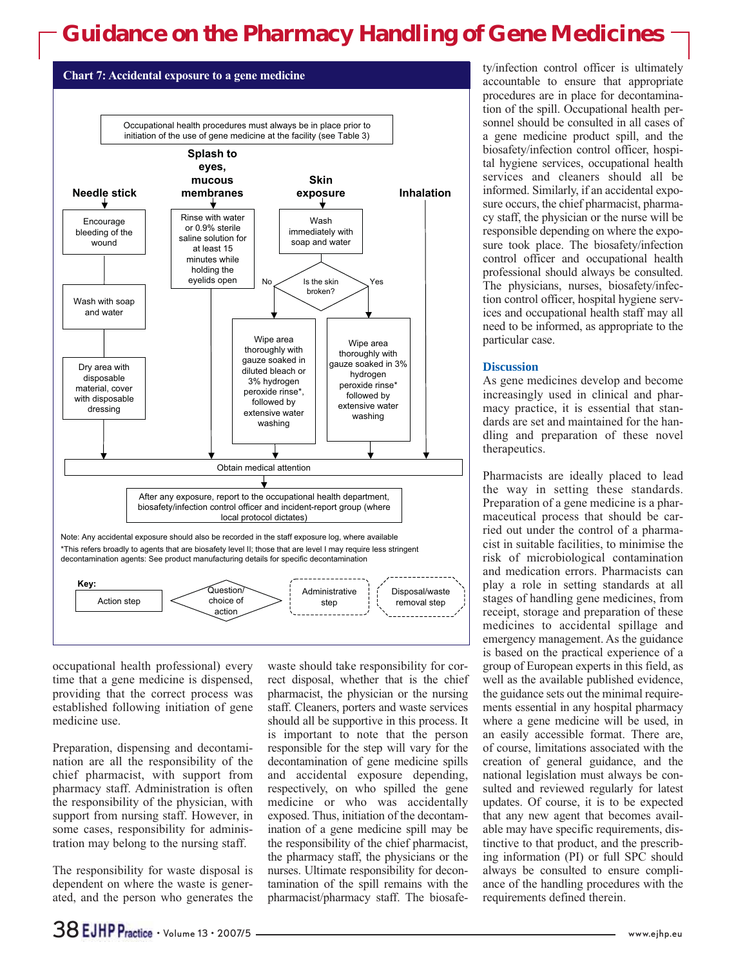

occupational health professional) every time that a gene medicine is dispensed, providing that the correct process was established following initiation of gene medicine use.

Preparation, dispensing and decontamination are all the responsibility of the chief pharmacist, with support from pharmacy staff. Administration is often the responsibility of the physician, with support from nursing staff. However, in some cases, responsibility for administration may belong to the nursing staff.

The responsibility for waste disposal is dependent on where the waste is generated, and the person who generates the

waste should take responsibility for correct disposal, whether that is the chief pharmacist, the physician or the nursing staff. Cleaners, porters and waste services should all be supportive in this process. It is important to note that the person responsible for the step will vary for the decontamination of gene medicine spills and accidental exposure depending, respectively, on who spilled the gene medicine or who was accidentally exposed. Thus, initiation of the decontamination of a gene medicine spill may be the responsibility of the chief pharmacist, the pharmacy staff, the physicians or the nurses. Ultimate responsibility for decontamination of the spill remains with the pharmacist/pharmacy staff. The biosafe-

ty/infection control officer is ultimately accountable to ensure that appropriate procedures are in place for decontamination of the spill. Occupational health personnel should be consulted in all cases of a gene medicine product spill, and the biosafety/infection control officer, hospital hygiene services, occupational health services and cleaners should all be informed. Similarly, if an accidental exposure occurs, the chief pharmacist, pharmacy staff, the physician or the nurse will be responsible depending on where the exposure took place. The biosafety/infection control officer and occupational health professional should always be consulted. The physicians, nurses, biosafety/infection control officer, hospital hygiene services and occupational health staff may all need to be informed, as appropriate to the particular case.

### **Discussion**

As gene medicines develop and become increasingly used in clinical and pharmacy practice, it is essential that standards are set and maintained for the handling and preparation of these novel therapeutics.

Pharmacists are ideally placed to lead the way in setting these standards. Preparation of a gene medicine is a pharmaceutical process that should be carried out under the control of a pharmacist in suitable facilities, to minimise the risk of microbiological contamination and medication errors. Pharmacists can play a role in setting standards at all stages of handling gene medicines, from receipt, storage and preparation of these medicines to accidental spillage and emergency management. As the guidance is based on the practical experience of a group of European experts in this field, as well as the available published evidence, the guidance sets out the minimal requirements essential in any hospital pharmacy where a gene medicine will be used, in an easily accessible format. There are, of course, limitations associated with the creation of general guidance, and the national legislation must always be consulted and reviewed regularly for latest updates. Of course, it is to be expected that any new agent that becomes available may have specific requirements, distinctive to that product, and the prescribing information (PI) or full SPC should always be consulted to ensure compliance of the handling procedures with the requirements defined therein.